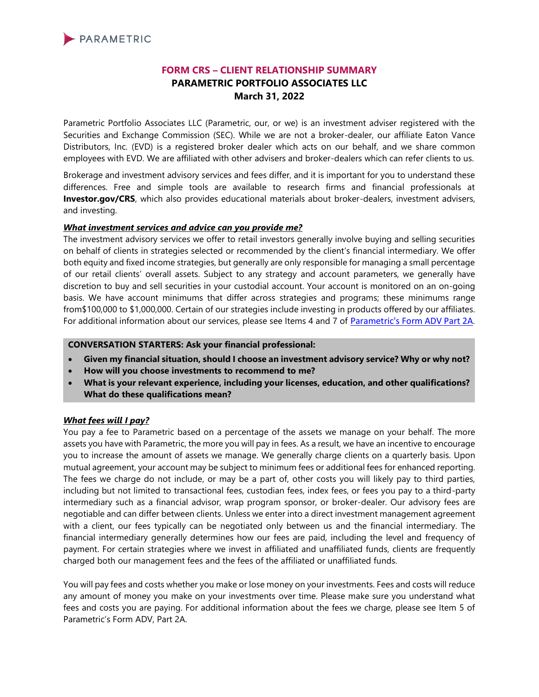

# **FORM CRS – CLIENT RELATIONSHIP SUMMARY PARAMETRIC PORTFOLIO ASSOCIATES LLC March 31, 2022**

Parametric Portfolio Associates LLC (Parametric, our, or we) is an investment adviser registered with the Securities and Exchange Commission (SEC). While we are not a broker-dealer, our affiliate Eaton Vance Distributors, Inc. (EVD) is a registered broker dealer which acts on our behalf, and we share common employees with EVD. We are affiliated with other advisers and broker-dealers which can refer clients to us.

Brokerage and investment advisory services and fees differ, and it is important for you to understand these differences. Free and simple tools are available to research firms and financial professionals at **Investor.gov/CRS**, which also provides educational materials about broker-dealers, investment advisers, and investing.

### *What investment services and advice can you provide me?*

The investment advisory services we offer to retail investors generally involve buying and selling securities on behalf of clients in strategies selected or recommended by the client's financial intermediary. We offer both equity and fixed income strategies, but generally are only responsible for managing a small percentage of our retail clients' overall assets. Subject to any strategy and account parameters, we generally have discretion to buy and sell securities in your custodial account. Your account is monitored on an on-going basis. We have account minimums that differ across strategies and programs; these minimums range from\$100,000 to \$1,000,000. Certain of our strategies include investing in products offered by our affiliates. For additional information about our services, please see Items 4 and 7 of [Parametric's Form ADV](https://adviserinfo.sec.gov/firm/summary/114310) Part 2A.

#### **CONVERSATION STARTERS: Ask your financial professional:**

- **Given my financial situation, should I choose an investment advisory service? Why or why not?**
- **How will you choose investments to recommend to me?**
- **What is your relevant experience, including your licenses, education, and other qualifications? What do these qualifications mean?**

#### *What fees will I pay?*

You pay a fee to Parametric based on a percentage of the assets we manage on your behalf. The more assets you have with Parametric, the more you will pay in fees. As a result, we have an incentive to encourage you to increase the amount of assets we manage. We generally charge clients on a quarterly basis. Upon mutual agreement, your account may be subject to minimum fees or additional fees for enhanced reporting. The fees we charge do not include, or may be a part of, other costs you will likely pay to third parties, including but not limited to transactional fees, custodian fees, index fees, or fees you pay to a third-party intermediary such as a financial advisor, wrap program sponsor, or broker-dealer. Our advisory fees are negotiable and can differ between clients. Unless we enter into a direct investment management agreement with a client, our fees typically can be negotiated only between us and the financial intermediary. The financial intermediary generally determines how our fees are paid, including the level and frequency of payment. For certain strategies where we invest in affiliated and unaffiliated funds, clients are frequently charged both our management fees and the fees of the affiliated or unaffiliated funds.

You will pay fees and costs whether you make or lose money on your investments. Fees and costs will reduce any amount of money you make on your investments over time. Please make sure you understand what fees and costs you are paying. For additional information about the fees we charge, please see Item 5 of Parametric's Form ADV, Part 2A.